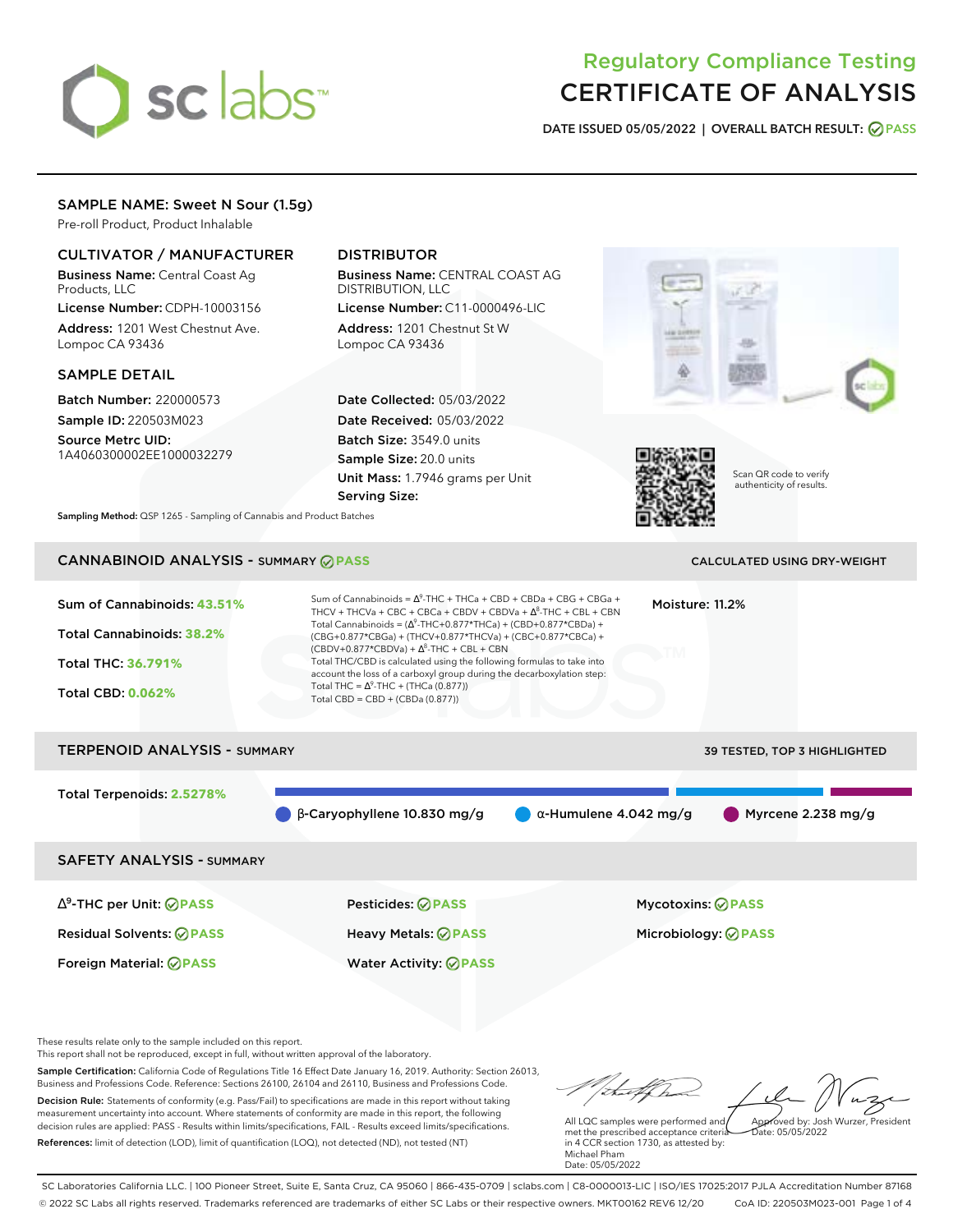# sclabs<sup>\*</sup>

# Regulatory Compliance Testing CERTIFICATE OF ANALYSIS

**DATE ISSUED 05/05/2022 | OVERALL BATCH RESULT: PASS**

### SAMPLE NAME: Sweet N Sour (1.5g)

Pre-roll Product, Product Inhalable

### CULTIVATOR / MANUFACTURER

Business Name: Central Coast Ag Products, LLC

License Number: CDPH-10003156 Address: 1201 West Chestnut Ave. Lompoc CA 93436

#### SAMPLE DETAIL

Batch Number: 220000573 Sample ID: 220503M023

Source Metrc UID: 1A4060300002EE1000032279

# DISTRIBUTOR

Business Name: CENTRAL COAST AG DISTRIBUTION, LLC License Number: C11-0000496-LIC

Address: 1201 Chestnut St W Lompoc CA 93436

Date Collected: 05/03/2022 Date Received: 05/03/2022 Batch Size: 3549.0 units Sample Size: 20.0 units Unit Mass: 1.7946 grams per Unit Serving Size:





Scan QR code to verify authenticity of results.

**Sampling Method:** QSP 1265 - Sampling of Cannabis and Product Batches

# **CANNABINOID ANALYSIS - SUMMARY @ PASS** CALCULATED USING DRY-WEIGHT

## Sum of Cannabinoids: **43.51%** Total Cannabinoids: **38.2%** Total THC: **36.791%** Total CBD: **0.062%** Sum of Cannabinoids =  $\Delta^9$ -THC + THCa + CBD + CBDa + CBG + CBGa + THCV + THCVa + CBC + CBCa + CBDV + CBDVa +  $\Delta^8$ -THC + CBL + CBN Total Cannabinoids = ( $\Delta^9$ -THC+0.877\*THCa) + (CBD+0.877\*CBDa) + (CBG+0.877\*CBGa) + (THCV+0.877\*THCVa) + (CBC+0.877\*CBCa) +  $(CBDV+0.877*CBDVa) + \Delta^8$ -THC + CBL + CBN Total THC/CBD is calculated using the following formulas to take into account the loss of a carboxyl group during the decarboxylation step: Total THC =  $\Delta^9$ -THC + (THCa (0.877)) Total CBD = CBD + (CBDa (0.877)) Moisture: 11.2% TERPENOID ANALYSIS - SUMMARY 39 TESTED, TOP 3 HIGHLIGHTED Total Terpenoids: **2.5278%**  $\bullet$  β-Caryophyllene 10.830 mg/g  $\bullet$  α-Humulene 4.042 mg/g  $\bullet$  Myrcene 2.238 mg/g SAFETY ANALYSIS - SUMMARY ∆ 9 -THC per Unit: **PASS** Pesticides: **PASS** Mycotoxins: **PASS** Residual Solvents: **PASS** Heavy Metals: **PASS** Microbiology: **PASS**

These results relate only to the sample included on this report.

This report shall not be reproduced, except in full, without written approval of the laboratory.

Sample Certification: California Code of Regulations Title 16 Effect Date January 16, 2019. Authority: Section 26013, Business and Professions Code. Reference: Sections 26100, 26104 and 26110, Business and Professions Code. Decision Rule: Statements of conformity (e.g. Pass/Fail) to specifications are made in this report without taking measurement uncertainty into account. Where statements of conformity are made in this report, the following decision rules are applied: PASS - Results within limits/specifications, FAIL - Results exceed limits/specifications.

Foreign Material: **PASS** Water Activity: **PASS**

References: limit of detection (LOD), limit of quantification (LOQ), not detected (ND), not tested (NT)

Approved by: Josh Wurzer, President

 $hat: 05/05/2022$ 

All LQC samples were performed and met the prescribed acceptance criteria in 4 CCR section 1730, as attested by: Michael Pham Date: 05/05/2022

SC Laboratories California LLC. | 100 Pioneer Street, Suite E, Santa Cruz, CA 95060 | 866-435-0709 | sclabs.com | C8-0000013-LIC | ISO/IES 17025:2017 PJLA Accreditation Number 87168 © 2022 SC Labs all rights reserved. Trademarks referenced are trademarks of either SC Labs or their respective owners. MKT00162 REV6 12/20 CoA ID: 220503M023-001 Page 1 of 4